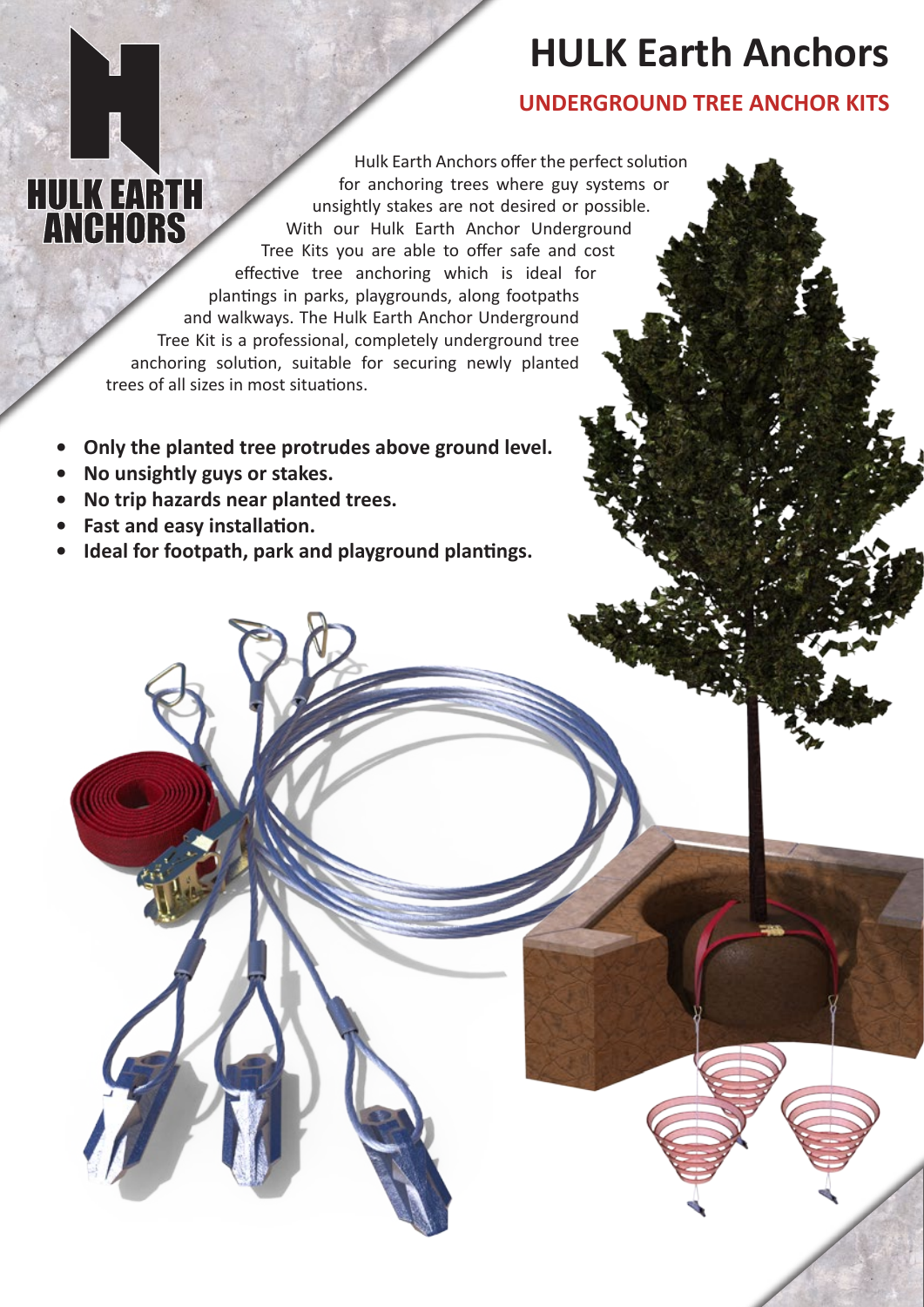# **HULK Earth Anchors**

### **UNDERGROUND TREE ANCHOR KITS**

Hulk Earth Anchors offer the perfect solution **HULK EARTH<br>ANCHORS** for anchoring trees where guy systems or unsightly stakes are not desired or possible. With our Hulk Earth Anchor Underground Tree Kits you are able to offer safe and cost effective tree anchoring which is ideal for plantings in parks, playgrounds, along footpaths and walkways. The Hulk Earth Anchor Underground Tree Kit is a professional, completely underground tree anchoring solution, suitable for securing newly planted trees of all sizes in most situations.

- **• Only the planted tree protrudes above ground level.**
- **• No unsightly guys or stakes.**
- **• No trip hazards near planted trees.**
- **• Fast and easy installation.**
- **• Ideal for footpath, park and playground plantings.**